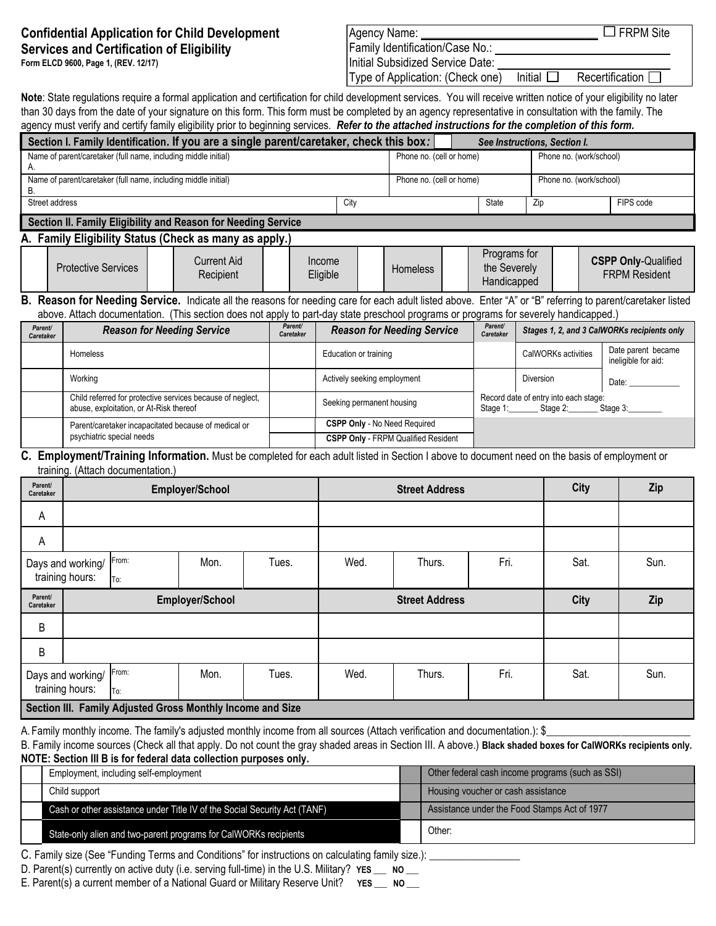# **Confidential Application for Child Development Services and Certification of Eligibility**

**Form ELCD 9600, Page 1, (REV. 12/17)**

| Agency Name:                     |         | $\Box$ FRPM Site       |
|----------------------------------|---------|------------------------|
| Family Identification/Case No.:  |         |                        |
| Initial Subsidized Service Date: |         |                        |
| Type of Application: (Check one) | Initial | Recertification $\Box$ |

**Note**: State regulations require a formal application and certification for child development services. You will receive written notice of your eligibility no later than 30 days from the date of your signature on this form. This form must be completed by an agency representative in consultation with the family. The

| agency must verify and certify family eligibility prior to beginning services. Refer to the attached instructions for the completion of this form. |      |                          |              |                         |           |  |  |  |  |
|----------------------------------------------------------------------------------------------------------------------------------------------------|------|--------------------------|--------------|-------------------------|-----------|--|--|--|--|
| Section I. Family Identification. If you are a single parent/caretaker, check this box:<br>See Instructions, Section I.                            |      |                          |              |                         |           |  |  |  |  |
| Name of parent/caretaker (full name, including middle initial)                                                                                     |      | Phone no. (cell or home) |              | Phone no. (work/school) |           |  |  |  |  |
|                                                                                                                                                    |      |                          |              |                         |           |  |  |  |  |
| Name of parent/caretaker (full name, including middle initial)                                                                                     |      | Phone no. (cell or home) |              | Phone no. (work/school) |           |  |  |  |  |
|                                                                                                                                                    |      |                          |              |                         |           |  |  |  |  |
| Street address                                                                                                                                     | City |                          | <b>State</b> | Zip                     | FIPS code |  |  |  |  |
|                                                                                                                                                    |      |                          |              |                         |           |  |  |  |  |
| Section II. Family Eligibility and Reason for Needing Service                                                                                      |      |                          |              |                         |           |  |  |  |  |

# **A. Family Eligibility Status (Check as many as apply.)**

| ------------- | -----------<br>-------     |                          |                    |                 |                                                    |                                                    |
|---------------|----------------------------|--------------------------|--------------------|-----------------|----------------------------------------------------|----------------------------------------------------|
|               | <b>Protective Services</b> | Current Aid<br>Recipient | Income<br>Eligible | <b>Homeless</b> | Programs for<br>the Severely<br><b>Handicapped</b> | <b>CSPP Only-Qualified</b><br><b>FRPM Resident</b> |

## **B. Reason for Needing Service.** Indicate all the reasons for needing care for each adult listed above. Enter "A" or "B" referring to parent/caretaker listed above. Attach documentation. (This section does not apply to part-day state preschool programs or programs for severely handicapped.)

| Parent/<br>Caretaker | <b>Reason for Needing Service</b>                                                                     | Parent/<br>Caretaker | <b>Reason for Needing Service</b>          | Parent/<br>Caretaker | Stages 1, 2, and 3 CalWORKs recipients only       |                                           |  |  |
|----------------------|-------------------------------------------------------------------------------------------------------|----------------------|--------------------------------------------|----------------------|---------------------------------------------------|-------------------------------------------|--|--|
|                      | Homeless                                                                                              |                      | Education or training                      |                      | CalWORKs activities                               | Date parent became<br>ineligible for aid: |  |  |
|                      | Working                                                                                               |                      | Actively seeking employment                |                      | Diversion                                         | Date:                                     |  |  |
|                      | Child referred for protective services because of neglect,<br>abuse, exploitation, or At-Risk thereof |                      | Seeking permanent housing                  | Stage 1:             | Record date of entry into each stage:<br>Stage 2: | Stage 3:                                  |  |  |
|                      | Parent/caretaker incapacitated because of medical or                                                  |                      | <b>CSPP Only - No Need Required</b>        |                      |                                                   |                                           |  |  |
|                      | psychiatric special needs                                                                             |                      | <b>CSPP Only - FRPM Qualified Resident</b> |                      |                                                   |                                           |  |  |

## **C. Employment/Training Information.** Must be completed for each adult listed in Section I above to document need on the basis of employment or training. (Attach documentation.)

| Parent/<br>Caretaker | ◡                                                          |              | Employer/School |       |      | <b>Street Address</b> | City | Zip  |      |  |
|----------------------|------------------------------------------------------------|--------------|-----------------|-------|------|-----------------------|------|------|------|--|
| А                    |                                                            |              |                 |       |      |                       |      |      |      |  |
| Α                    |                                                            |              |                 |       |      |                       |      |      |      |  |
|                      | Days and working/<br>training hours:                       | From:<br>To: | Mon.            | Tues. | Wed. | Thurs.                | Fri. | Sat. | Sun. |  |
| Parent/<br>Caretaker |                                                            |              | Employer/School |       |      | <b>Street Address</b> | City | Zip  |      |  |
| B                    |                                                            |              |                 |       |      |                       |      |      |      |  |
| B                    |                                                            |              |                 |       |      |                       |      |      |      |  |
|                      | Days and working/<br>training hours:                       | From:<br>To: | Mon.            | Tues. | Wed. | Thurs.                | Fri. | Sat. | Sun. |  |
|                      | Section III. Family Adjusted Gross Monthly Income and Size |              |                 |       |      |                       |      |      |      |  |

A. Family monthly income. The family's adjusted monthly income from all sources (Attach verification and documentation.): \$

B. Family income sources (Check all that apply. Do not count the gray shaded areas in Section III. A above.) **Black shaded boxes for CalWORKs recipients only. NOTE: Section III B is for federal data collection purposes only.**

| Employment, including self-employment                                     | Other federal cash income programs (such as SSI) |
|---------------------------------------------------------------------------|--------------------------------------------------|
| Child support                                                             | Housing voucher or cash assistance               |
| Cash or other assistance under Title IV of the Social Security Act (TANF) | Assistance under the Food Stamps Act of 1977     |
| State-only alien and two-parent programs for CalWORKs recipients          | Other:                                           |

C. Family size (See "Funding Terms and Conditions" for instructions on calculating family size.): \_\_\_\_\_\_\_\_\_\_\_\_\_\_\_\_\_

D. Parent(s) currently on active duty (i.e. serving full-time) in the U.S. Military? **YES** \_\_\_ NO \_\_

E. Parent(s) a current member of a National Guard or Military Reserve Unit? **YES** NO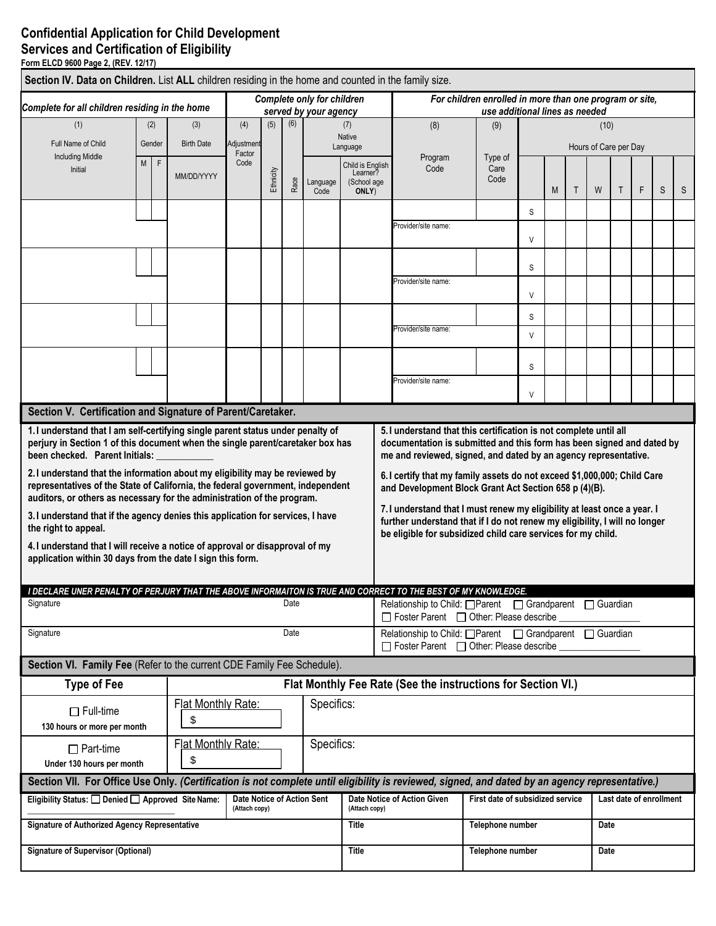# **Confidential Application for Child Development Services and Certification of Eligibility**

**Form ELCD 9600 Page 2, (REV. 12/17)**

| Section IV. Data on Children. List ALL children residing in the home and counted in the family size.                                                                                                                                                                                                                                                                                                                                                                                                                                   |   |              |                          |                                             |           |      |                                                            |                                             |                                                                                                                                                                                                                                                                                                                                                                                                                              |                                  |             |   |              |                       |                         |   |   |   |
|----------------------------------------------------------------------------------------------------------------------------------------------------------------------------------------------------------------------------------------------------------------------------------------------------------------------------------------------------------------------------------------------------------------------------------------------------------------------------------------------------------------------------------------|---|--------------|--------------------------|---------------------------------------------|-----------|------|------------------------------------------------------------|---------------------------------------------|------------------------------------------------------------------------------------------------------------------------------------------------------------------------------------------------------------------------------------------------------------------------------------------------------------------------------------------------------------------------------------------------------------------------------|----------------------------------|-------------|---|--------------|-----------------------|-------------------------|---|---|---|
| Complete for all children residing in the home                                                                                                                                                                                                                                                                                                                                                                                                                                                                                         |   |              |                          |                                             |           |      | <b>Complete only for children</b><br>served by your agency |                                             | For children enrolled in more than one program or site,<br>use additional lines as needed                                                                                                                                                                                                                                                                                                                                    |                                  |             |   |              |                       |                         |   |   |   |
| (1)                                                                                                                                                                                                                                                                                                                                                                                                                                                                                                                                    |   | (2)          | (3)                      | (4)                                         | (5)       | (6)  |                                                            | (7)                                         | (8)                                                                                                                                                                                                                                                                                                                                                                                                                          | (9)                              | (10)        |   |              |                       |                         |   |   |   |
| Full Name of Child                                                                                                                                                                                                                                                                                                                                                                                                                                                                                                                     |   | Gender       | <b>Birth Date</b>        | Adjustment                                  |           |      |                                                            | <b>Native</b><br>Language                   |                                                                                                                                                                                                                                                                                                                                                                                                                              |                                  |             |   |              | Hours of Care per Day |                         |   |   |   |
| <b>Including Middle</b><br>Initial                                                                                                                                                                                                                                                                                                                                                                                                                                                                                                     | M | $\mathsf{F}$ | MM/DD/YYYY               | Factor<br>Code                              | Ethnicity | Race | Language                                                   | Child is English<br>Learner?<br>(School age | Program<br>Code                                                                                                                                                                                                                                                                                                                                                                                                              | Type of<br>Care<br>Code          |             |   |              |                       |                         |   |   |   |
|                                                                                                                                                                                                                                                                                                                                                                                                                                                                                                                                        |   |              |                          |                                             |           |      | Code                                                       | ONLY)                                       |                                                                                                                                                                                                                                                                                                                                                                                                                              |                                  |             | M | $\mathsf{T}$ | W                     | $\mathsf{T}$            | F | S | S |
|                                                                                                                                                                                                                                                                                                                                                                                                                                                                                                                                        |   |              |                          |                                             |           |      |                                                            |                                             | Provider/site name:                                                                                                                                                                                                                                                                                                                                                                                                          |                                  | S<br>$\vee$ |   |              |                       |                         |   |   |   |
|                                                                                                                                                                                                                                                                                                                                                                                                                                                                                                                                        |   |              |                          |                                             |           |      |                                                            |                                             |                                                                                                                                                                                                                                                                                                                                                                                                                              |                                  | S           |   |              |                       |                         |   |   |   |
|                                                                                                                                                                                                                                                                                                                                                                                                                                                                                                                                        |   |              |                          |                                             |           |      |                                                            |                                             | Provider/site name:                                                                                                                                                                                                                                                                                                                                                                                                          |                                  | $\vee$      |   |              |                       |                         |   |   |   |
|                                                                                                                                                                                                                                                                                                                                                                                                                                                                                                                                        |   |              |                          |                                             |           |      |                                                            |                                             |                                                                                                                                                                                                                                                                                                                                                                                                                              |                                  | S           |   |              |                       |                         |   |   |   |
|                                                                                                                                                                                                                                                                                                                                                                                                                                                                                                                                        |   |              |                          |                                             |           |      |                                                            |                                             | Provider/site name:                                                                                                                                                                                                                                                                                                                                                                                                          |                                  | $\vee$      |   |              |                       |                         |   |   |   |
|                                                                                                                                                                                                                                                                                                                                                                                                                                                                                                                                        |   |              |                          |                                             |           |      |                                                            |                                             |                                                                                                                                                                                                                                                                                                                                                                                                                              |                                  | S           |   |              |                       |                         |   |   |   |
|                                                                                                                                                                                                                                                                                                                                                                                                                                                                                                                                        |   |              |                          |                                             |           |      |                                                            |                                             | Provider/site name:                                                                                                                                                                                                                                                                                                                                                                                                          |                                  | $\vee$      |   |              |                       |                         |   |   |   |
| Section V. Certification and Signature of Parent/Caretaker.                                                                                                                                                                                                                                                                                                                                                                                                                                                                            |   |              |                          |                                             |           |      |                                                            |                                             |                                                                                                                                                                                                                                                                                                                                                                                                                              |                                  |             |   |              |                       |                         |   |   |   |
| been checked. Parent Initials:<br>2. I understand that the information about my eligibility may be reviewed by<br>representatives of the State of California, the federal government, independent<br>auditors, or others as necessary for the administration of the program.<br>3. I understand that if the agency denies this application for services, I have<br>the right to appeal.<br>4. I understand that I will receive a notice of approval or disapproval of my<br>application within 30 days from the date I sign this form. |   |              |                          |                                             |           |      |                                                            |                                             | me and reviewed, signed, and dated by an agency representative.<br>6.1 certify that my family assets do not exceed \$1,000,000; Child Care<br>and Development Block Grant Act Section 658 p (4)(B).<br>7.1 understand that I must renew my eligibility at least once a year. I<br>further understand that if I do not renew my eligibility, I will no longer<br>be eligible for subsidized child care services for my child. |                                  |             |   |              |                       |                         |   |   |   |
| Signature                                                                                                                                                                                                                                                                                                                                                                                                                                                                                                                              |   |              |                          |                                             |           | Date |                                                            |                                             | I DECLARE UNER PENALTY OF PERJURY THAT THE ABOVE INFORMAITON IS TRUE AND CORRECT TO THE BEST OF MY KNOWLEDGE.<br>Relationship to Child: <b>Operat</b>   Grandparent   Guardian<br>□ Foster Parent □ Other: Please describe                                                                                                                                                                                                   |                                  |             |   |              |                       |                         |   |   |   |
| Signature                                                                                                                                                                                                                                                                                                                                                                                                                                                                                                                              |   |              |                          |                                             |           | Date |                                                            |                                             | Relationship to Child: □ Parent □ Grandparent □ Guardian<br>□ Foster Parent □ Other: Please describe                                                                                                                                                                                                                                                                                                                         |                                  |             |   |              |                       |                         |   |   |   |
| Section VI. Family Fee (Refer to the current CDE Family Fee Schedule).                                                                                                                                                                                                                                                                                                                                                                                                                                                                 |   |              |                          |                                             |           |      |                                                            |                                             |                                                                                                                                                                                                                                                                                                                                                                                                                              |                                  |             |   |              |                       |                         |   |   |   |
| <b>Type of Fee</b>                                                                                                                                                                                                                                                                                                                                                                                                                                                                                                                     |   |              |                          |                                             |           |      |                                                            |                                             | Flat Monthly Fee Rate (See the instructions for Section VI.)                                                                                                                                                                                                                                                                                                                                                                 |                                  |             |   |              |                       |                         |   |   |   |
| $\Box$ Full-time<br>130 hours or more per month                                                                                                                                                                                                                                                                                                                                                                                                                                                                                        |   |              | Flat Monthly Rate:<br>\$ |                                             |           |      | Specifics:                                                 |                                             |                                                                                                                                                                                                                                                                                                                                                                                                                              |                                  |             |   |              |                       |                         |   |   |   |
| Flat Monthly Rate:<br>Specifics:<br>$\Box$ Part-time<br>\$<br>Under 130 hours per month                                                                                                                                                                                                                                                                                                                                                                                                                                                |   |              |                          |                                             |           |      |                                                            |                                             |                                                                                                                                                                                                                                                                                                                                                                                                                              |                                  |             |   |              |                       |                         |   |   |   |
| Section VII. For Office Use Only. (Certification is not complete until eligibility is reviewed, signed, and dated by an agency representative.)                                                                                                                                                                                                                                                                                                                                                                                        |   |              |                          |                                             |           |      |                                                            |                                             |                                                                                                                                                                                                                                                                                                                                                                                                                              |                                  |             |   |              |                       |                         |   |   |   |
| Eligibility Status: Denied D Approved Site Name:                                                                                                                                                                                                                                                                                                                                                                                                                                                                                       |   |              |                          | Date Notice of Action Sent<br>(Attach copy) |           |      |                                                            | (Attach copy)                               | Date Notice of Action Given                                                                                                                                                                                                                                                                                                                                                                                                  | First date of subsidized service |             |   |              |                       | Last date of enrollment |   |   |   |
| Signature of Authorized Agency Representative                                                                                                                                                                                                                                                                                                                                                                                                                                                                                          |   |              |                          |                                             |           |      |                                                            | <b>Title</b>                                |                                                                                                                                                                                                                                                                                                                                                                                                                              | Telephone number                 |             |   |              | Date                  |                         |   |   |   |
| <b>Signature of Supervisor (Optional)</b>                                                                                                                                                                                                                                                                                                                                                                                                                                                                                              |   |              |                          |                                             |           |      |                                                            | <b>Title</b>                                |                                                                                                                                                                                                                                                                                                                                                                                                                              | Telephone number                 |             |   |              | Date                  |                         |   |   |   |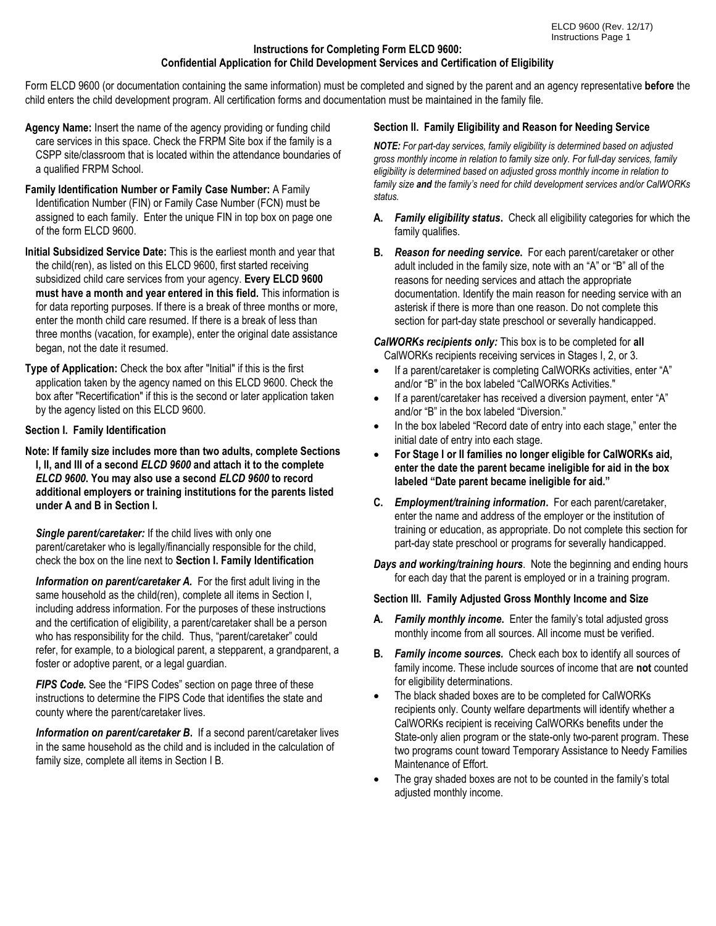## **Instructions for Completing Form ELCD 9600: Confidential Application for Child Development Services and Certification of Eligibility**

Form ELCD 9600 (or documentation containing the same information) must be completed and signed by the parent and an agency representative **before** the child enters the child development program. All certification forms and documentation must be maintained in the family file.

- **Agency Name:** Insert the name of the agency providing or funding child care services in this space. Check the FRPM Site box if the family is a CSPP site/classroom that is located within the attendance boundaries of a qualified FRPM School.
- **Family Identification Number or Family Case Number:** A Family Identification Number (FIN) or Family Case Number (FCN) must be assigned to each family. Enter the unique FIN in top box on page one of the form ELCD 9600.
- **Initial Subsidized Service Date:** This is the earliest month and year that the child(ren), as listed on this ELCD 9600, first started receiving subsidized child care services from your agency. **Every ELCD 9600 must have a month and year entered in this field.** This information is for data reporting purposes. If there is a break of three months or more, enter the month child care resumed. If there is a break of less than three months (vacation, for example), enter the original date assistance began, not the date it resumed.
- **Type of Application:** Check the box after "Initial" if this is the first application taken by the agency named on this ELCD 9600. Check the box after "Recertification" if this is the second or later application taken by the agency listed on this ELCD 9600.

## **Section I. Family Identification**

**Note: If family size includes more than two adults, complete Sections I, II, and III of a second** *ELCD 9600* **and attach it to the complete**  *ELCD 9600***. You may also use a second** *ELCD 9600* **to record additional employers or training institutions for the parents listed under A and B in Section I.**

*Single parent/caretaker:* If the child lives with only one parent/caretaker who is legally/financially responsible for the child, check the box on the line next to **Section I. Family Identification**

*Information on parent/caretaker A.* For the first adult living in the same household as the child(ren), complete all items in Section I, including address information. For the purposes of these instructions and the certification of eligibility, a parent/caretaker shall be a person who has responsibility for the child. Thus, "parent/caretaker" could refer, for example, to a biological parent, a stepparent, a grandparent, a foster or adoptive parent, or a legal guardian.

*FIPS Code.* See the "FIPS Codes" section on page three of these instructions to determine the FIPS Code that identifies the state and county where the parent/caretaker lives.

 *Information on parent/caretaker B***.** If a second parent/caretaker lives in the same household as the child and is included in the calculation of family size, complete all items in Section I B.

# **Section II. Family Eligibility and Reason for Needing Service**

*NOTE: For part-day services, family eligibility is determined based on adjusted gross monthly income in relation to family size only. For full-day services, family eligibility is determined based on adjusted gross monthly income in relation to family size and the family's need for child development services and/or CalWORKs status.* 

- **A.** *Family eligibility status***.** Check all eligibility categories for which the family qualifies.
- **B.** *Reason for needing service***.** For each parent/caretaker or other adult included in the family size, note with an "A" or "B" all of the reasons for needing services and attach the appropriate documentation. Identify the main reason for needing service with an asterisk if there is more than one reason. Do not complete this section for part-day state preschool or severally handicapped.

## *CalWORKs recipients only:* This box is to be completed for **all** CalWORKs recipients receiving services in Stages I, 2, or 3.

- If a parent/caretaker is completing CalWORKs activities, enter "A" and/or "B" in the box labeled "CalWORKs Activities."
- If a parent/caretaker has received a diversion payment, enter "A" and/or "B" in the box labeled "Diversion."
- In the box labeled "Record date of entry into each stage," enter the initial date of entry into each stage.
- **For Stage I or II families no longer eligible for CalWORKs aid, enter the date the parent became ineligible for aid in the box labeled "Date parent became ineligible for aid."**
- **C.** *Employment/training information***.** For each parent/caretaker, enter the name and address of the employer or the institution of training or education, as appropriate. Do not complete this section for part-day state preschool or programs for severally handicapped.

*Days and working/training hours*. Note the beginning and ending hours for each day that the parent is employed or in a training program.

## **Section III. Family Adjusted Gross Monthly Income and Size**

- **A.** *Family monthly income***.** Enter the family's total adjusted gross monthly income from all sources. All income must be verified.
- **B.** *Family income sources.* Check each box to identify all sources of family income. These include sources of income that are **not** counted for eligibility determinations.
- The black shaded boxes are to be completed for CalWORKs recipients only. County welfare departments will identify whether a CalWORKs recipient is receiving CalWORKs benefits under the State-only alien program or the state-only two-parent program. These two programs count toward Temporary Assistance to Needy Families Maintenance of Effort.
- The gray shaded boxes are not to be counted in the family's total adjusted monthly income.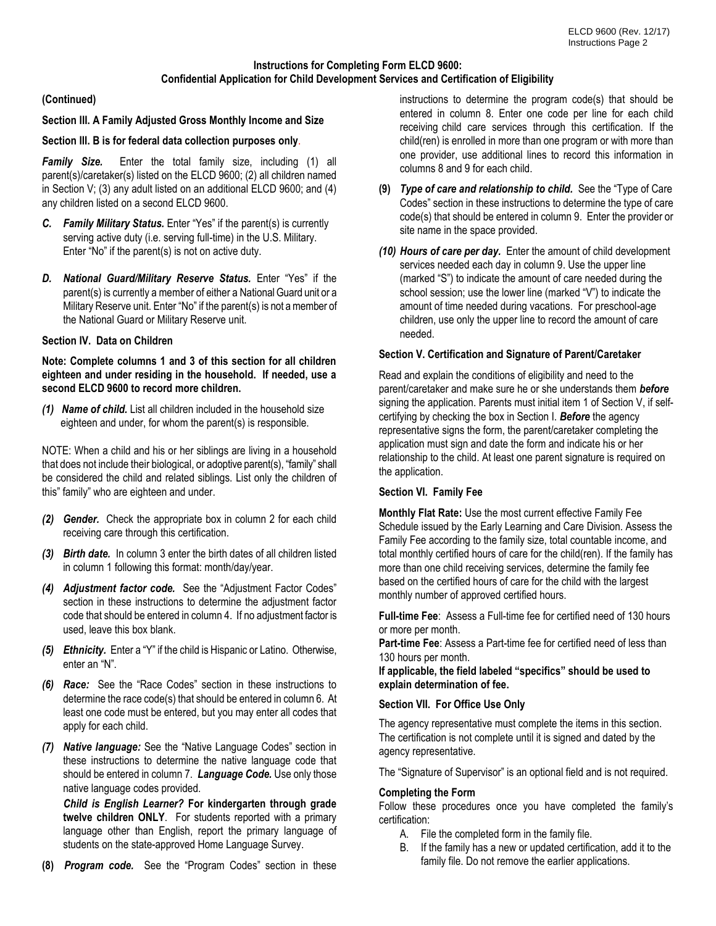# **Instructions for Completing Form ELCD 9600: Confidential Application for Child Development Services and Certification of Eligibility**

# **(Continued)**

## **Section III. A Family Adjusted Gross Monthly Income and Size**

#### **Section III. B is for federal data collection purposes only**.

*Family Size.* Enter the total family size, including (1) all parent(s)/caretaker(s) listed on the ELCD 9600; (2) all children named in Section V; (3) any adult listed on an additional ELCD 9600; and (4) any children listed on a second ELCD 9600.

- *C. Family Military Status.* Enter "Yes" if the parent(s) is currently serving active duty (i.e. serving full-time) in the U.S. Military. Enter "No" if the parent(s) is not on active duty.
- *D. National Guard/Military Reserve Status.* Enter "Yes" if the parent(s) is currently a member of either a National Guard unit or a Military Reserve unit. Enter "No" if the parent(s) is not a member of the National Guard or Military Reserve unit.

## **Section IV. Data on Children**

## **Note: Complete columns 1 and 3 of this section for all children eighteen and under residing in the household. If needed, use a second ELCD 9600 to record more children.**

*(1) Name of child.* List all children included in the household size eighteen and under, for whom the parent(s) is responsible.

NOTE: When a child and his or her siblings are living in a household that does not include their biological, or adoptive parent(s), "family" shall be considered the child and related siblings. List only the children of this" family" who are eighteen and under.

- *(2) Gender.* Check the appropriate box in column 2 for each child receiving care through this certification.
- *(3) Birth date.* In column 3 enter the birth dates of all children listed in column 1 following this format: month/day/year.
- *(4) Adjustment factor code.* See the "Adjustment Factor Codes" section in these instructions to determine the adjustment factor code that should be entered in column 4. If no adjustment factor is used, leave this box blank.
- *(5) Ethnicity.* Enter a "Y" if the child is Hispanic or Latino. Otherwise, enter an "N".
- *(6) Race:* See the "Race Codes" section in these instructions to determine the race code(s) that should be entered in column 6. At least one code must be entered, but you may enter all codes that apply for each child.
- *(7) Native language:* See the "Native Language Codes" section in these instructions to determine the native language code that should be entered in column 7. *Language Code.* Use only those native language codes provided.

*Child is English Learner?* **For kindergarten through grade twelve children ONLY**. For students reported with a primary language other than English, report the primary language of students on the state-approved Home Language Survey.

**(8)** *Program code.* See the "Program Codes" section in these

instructions to determine the program code(s) that should be entered in column 8. Enter one code per line for each child receiving child care services through this certification. If the child(ren) is enrolled in more than one program or with more than one provider, use additional lines to record this information in columns 8 and 9 for each child.

- **(9)** *Type of care and relationship to child.* See the "Type of Care Codes" section in these instructions to determine the type of care code(s) that should be entered in column 9. Enter the provider or site name in the space provided.
- *(10) Hours of care per day.* Enter the amount of child development services needed each day in column 9. Use the upper line (marked "S") to indicate the amount of care needed during the school session; use the lower line (marked "V") to indicate the amount of time needed during vacations. For preschool-age children, use only the upper line to record the amount of care needed.

# **Section V. Certification and Signature of Parent/Caretaker**

Read and explain the conditions of eligibility and need to the parent/caretaker and make sure he or she understands them *before*  signing the application. Parents must initial item 1 of Section V, if selfcertifying by checking the box in Section I. *Before* the agency representative signs the form, the parent/caretaker completing the application must sign and date the form and indicate his or her relationship to the child. At least one parent signature is required on the application.

#### **Section VI. Family Fee**

**Monthly Flat Rate:** Use the most current effective Family Fee Schedule issued by the Early Learning and Care Division. Assess the Family Fee according to the family size, total countable income, and total monthly certified hours of care for the child(ren). If the family has more than one child receiving services, determine the family fee based on the certified hours of care for the child with the largest monthly number of approved certified hours.

**Full-time Fee**: Assess a Full-time fee for certified need of 130 hours or more per month.

**Part-time Fee**: Assess a Part-time fee for certified need of less than 130 hours per month.

**If applicable, the field labeled "specifics" should be used to explain determination of fee.** 

#### **Section VII. For Office Use Only**

The agency representative must complete the items in this section. The certification is not complete until it is signed and dated by the agency representative.

The "Signature of Supervisor" is an optional field and is not required.

#### **Completing the Form**

Follow these procedures once you have completed the family's certification:

- A. File the completed form in the family file.
- B. If the family has a new or updated certification, add it to the family file. Do not remove the earlier applications.